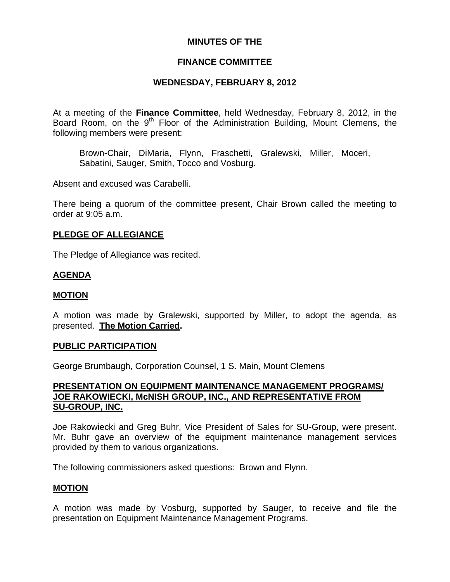# **MINUTES OF THE**

# **FINANCE COMMITTEE**

# **WEDNESDAY, FEBRUARY 8, 2012**

At a meeting of the **Finance Committee**, held Wednesday, February 8, 2012, in the Board Room, on the 9<sup>th</sup> Floor of the Administration Building, Mount Clemens, the following members were present:

Brown-Chair, DiMaria, Flynn, Fraschetti, Gralewski, Miller, Moceri, Sabatini, Sauger, Smith, Tocco and Vosburg.

Absent and excused was Carabelli.

There being a quorum of the committee present, Chair Brown called the meeting to order at 9:05 a.m.

## **PLEDGE OF ALLEGIANCE**

The Pledge of Allegiance was recited.

## **AGENDA**

## **MOTION**

A motion was made by Gralewski, supported by Miller, to adopt the agenda, as presented. **The Motion Carried.** 

#### **PUBLIC PARTICIPATION**

George Brumbaugh, Corporation Counsel, 1 S. Main, Mount Clemens

# **PRESENTATION ON EQUIPMENT MAINTENANCE MANAGEMENT PROGRAMS/ JOE RAKOWIECKI, McNISH GROUP, INC., AND REPRESENTATIVE FROM SU-GROUP, INC.**

Joe Rakowiecki and Greg Buhr, Vice President of Sales for SU-Group, were present. Mr. Buhr gave an overview of the equipment maintenance management services provided by them to various organizations.

The following commissioners asked questions: Brown and Flynn.

## **MOTION**

A motion was made by Vosburg, supported by Sauger, to receive and file the presentation on Equipment Maintenance Management Programs.